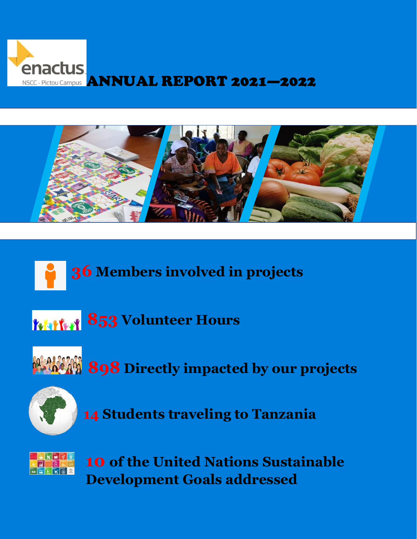



## **Members involved in projects**

Volunteer Hours



**Directly impacted by our projects**



**Students traveling to Tanzania**



**of the United Nations Sustainable Development Goals addressed**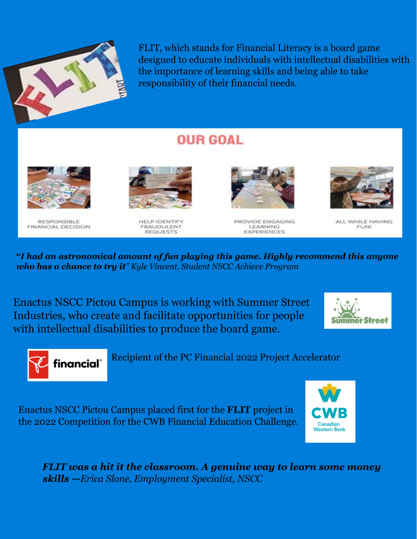

FLIT, which stands for Financial Literacy is a board game designed to educate individuals with intellectual disabilities with the importance of learning skills and being able to take responsibility of their financial needs.

## **OUR GOAL**



**RESPONSIBLE FINANCIAL DECISION** 



HELP IDENTIFY **FRAUDULENT REQUESTS** 



PROVIDE ENGAGING LEARNING **EXPERIENCES** 



ALL WHILE HAVING **FUNI** 

**"***I had an astronomical amount of fun playing this game. Highly recommend this anyone who has a chance to try it" Kyle Vincent, Student NSCC Achieve Program*

Enactus NSCC Pictou Campus is working with Summer Street Industries, who create and facilitate opportunities for people with intellectual disabilities to produce the board game.





Recipient of the PC Financial 2022 Project Accelerator

Enactus NSCC Pictou Campus placed first for the **FLIT** project in the 2022 Competition for the CWB Financial Education Challenge.



*FLIT was a hit it the classroom. A genuine way to learn some money skills —Erica Slone, Employment Specialist, NSCC*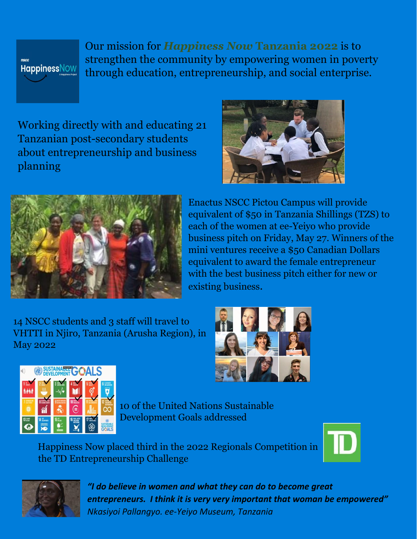

Our mission for *Happiness Now* **Tanzania 2022** is to strengthen the community by empowering women in poverty through education, entrepreneurship, and social enterprise.

Working directly with and educating 21 Tanzanian post-secondary students about entrepreneurship and business planning





Enactus NSCC Pictou Campus will provide equivalent of \$50 in Tanzania Shillings (TZS) to each of the women at ee-Yeiyo who provide business pitch on Friday, May 27. Winners of the mini ventures receive a \$50 Canadian Dollars equivalent to award the female entrepreneur with the best business pitch either for new or existing business.

14 NSCC students and 3 staff will travel to VHTTI in Njiro, Tanzania (Arusha Region), in May 2022





10 of the United Nations Sustainable Development Goals addressed

Happiness Now placed third in the 2022 Regionals Competition in the TD Entrepreneurship Challenge





*"I do believe in women and what they can do to become great entrepreneurs. I think it is very very important that woman be empowered" Nkasiyoi Pallangyo. ee-Yeiyo Museum, Tanzania*